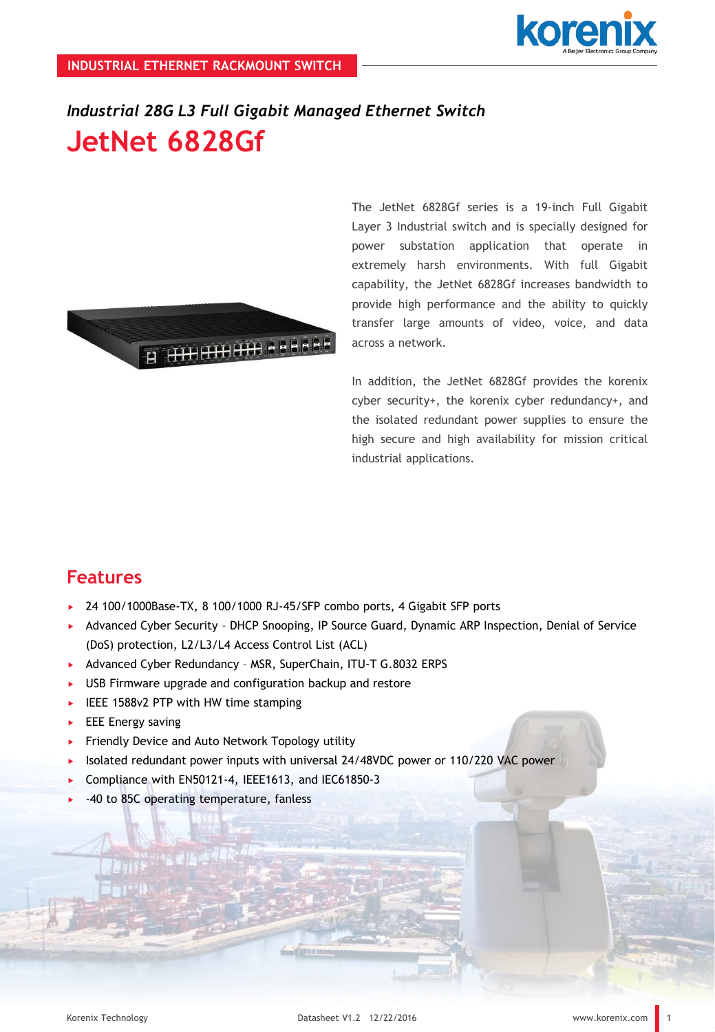

# *Industrial 28G L3 Full Gigabit Managed Ethernet Switch* **JetNet 6828Gf**



The JetNet 6828Gf series is a 19-inch Full Gigabit Layer 3 Industrial switch and is specially designed for power substation application that operate in extremely harsh environments. With full Gigabit capability, the JetNet 6828Gf increases bandwidth to provide high performance and the ability to quickly transfer large amounts of video, voice, and data across a network.

In addition, the JetNet 6828Gf provides the korenix cyber security+, the korenix cyber redundancy+, and the isolated redundant power supplies to ensure the high secure and high availability for mission critical industrial applications.

### **Features**

- ▶ 24 100/1000Base-TX, 8 100/1000 RJ-45/SFP combo ports, 4 Gigabit SFP ports
- Advanced Cyber Security DHCP Snooping, IP Source Guard, Dynamic ARP Inspection, Denial of Service (DoS) protection, L2/L3/L4 Access Control List (ACL)
- ▶ Advanced Cyber Redundancy MSR, SuperChain, ITU-T G.8032 ERPS
- USB Firmware upgrade and configuration backup and restore
- $\blacktriangleright$  IEEE 1588v2 PTP with HW time stamping
- $\blacktriangleright$  EEE Energy saving
- Friendly Device and Auto Network Topology utility
- Isolated redundant power inputs with universal 24/48VDC power or 110/220 VAC power
- Compliance with EN50121-4, IEEE1613, and IEC61850-3
- -40 to 85C operating temperature, fanless

1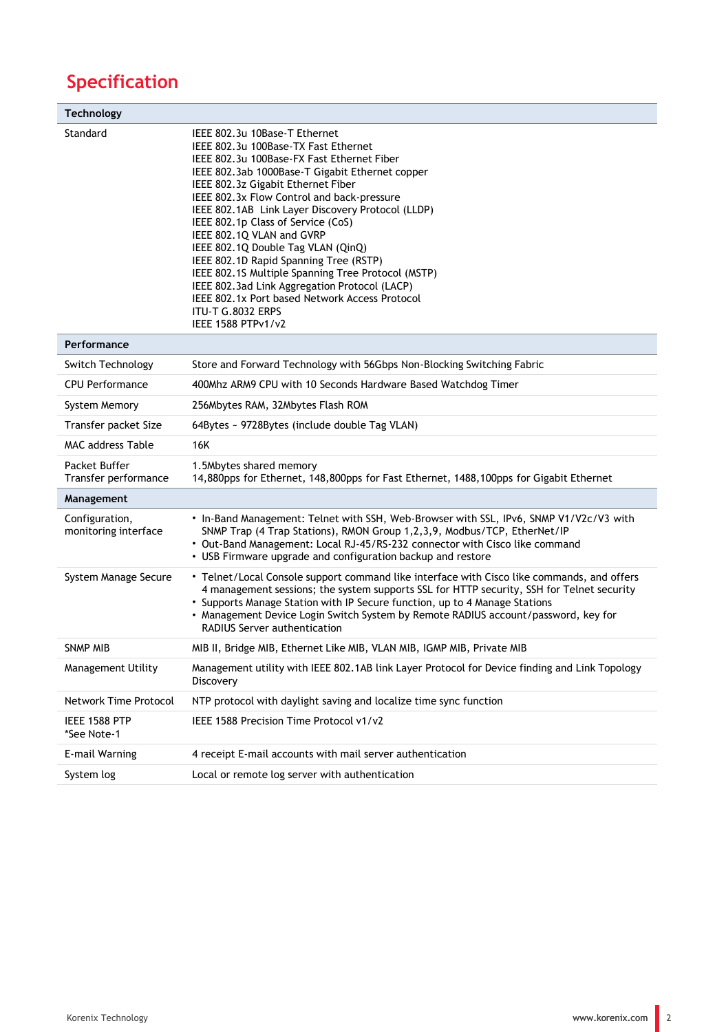## **Specification**

| Technology                             |                                                                                                                                                                                                                                                                                                                                                                                                                                                                                                                                                                                                                                                                        |
|----------------------------------------|------------------------------------------------------------------------------------------------------------------------------------------------------------------------------------------------------------------------------------------------------------------------------------------------------------------------------------------------------------------------------------------------------------------------------------------------------------------------------------------------------------------------------------------------------------------------------------------------------------------------------------------------------------------------|
| Standard                               | IEEE 802.3u 10Base-T Ethernet<br>IEEE 802.3u 100Base-TX Fast Ethernet<br>IEEE 802.3u 100Base-FX Fast Ethernet Fiber<br>IEEE 802.3ab 1000Base-T Gigabit Ethernet copper<br>IEEE 802.3z Gigabit Ethernet Fiber<br>IEEE 802.3x Flow Control and back-pressure<br>IEEE 802.1AB Link Layer Discovery Protocol (LLDP)<br>IEEE 802.1p Class of Service (CoS)<br>IEEE 802.1Q VLAN and GVRP<br>IEEE 802.1Q Double Tag VLAN (QinQ)<br>IEEE 802.1D Rapid Spanning Tree (RSTP)<br>IEEE 802.1S Multiple Spanning Tree Protocol (MSTP)<br>IEEE 802.3ad Link Aggregation Protocol (LACP)<br>IEEE 802.1x Port based Network Access Protocol<br>ITU-T G.8032 ERPS<br>IEEE 1588 PTPv1/v2 |
| Performance                            |                                                                                                                                                                                                                                                                                                                                                                                                                                                                                                                                                                                                                                                                        |
| Switch Technology                      | Store and Forward Technology with 56Gbps Non-Blocking Switching Fabric                                                                                                                                                                                                                                                                                                                                                                                                                                                                                                                                                                                                 |
| <b>CPU Performance</b>                 | 400Mhz ARM9 CPU with 10 Seconds Hardware Based Watchdog Timer                                                                                                                                                                                                                                                                                                                                                                                                                                                                                                                                                                                                          |
| System Memory                          | 256Mbytes RAM, 32Mbytes Flash ROM                                                                                                                                                                                                                                                                                                                                                                                                                                                                                                                                                                                                                                      |
| Transfer packet Size                   | 64Bytes ~ 9728Bytes (include double Tag VLAN)                                                                                                                                                                                                                                                                                                                                                                                                                                                                                                                                                                                                                          |
| <b>MAC address Table</b>               | 16K                                                                                                                                                                                                                                                                                                                                                                                                                                                                                                                                                                                                                                                                    |
| Packet Buffer<br>Transfer performance  | 1.5Mbytes shared memory<br>14,880pps for Ethernet, 148,800pps for Fast Ethernet, 1488,100pps for Gigabit Ethernet                                                                                                                                                                                                                                                                                                                                                                                                                                                                                                                                                      |
| Management                             |                                                                                                                                                                                                                                                                                                                                                                                                                                                                                                                                                                                                                                                                        |
| Configuration,<br>monitoring interface | • In-Band Management: Telnet with SSH, Web-Browser with SSL, IPv6, SNMP V1/V2c/V3 with<br>SNMP Trap (4 Trap Stations), RMON Group 1,2,3,9, Modbus/TCP, EtherNet/IP<br>• Out-Band Management: Local RJ-45/RS-232 connector with Cisco like command<br>• USB Firmware upgrade and configuration backup and restore                                                                                                                                                                                                                                                                                                                                                       |
| System Manage Secure                   | • Telnet/Local Console support command like interface with Cisco like commands, and offers<br>4 management sessions; the system supports SSL for HTTP security, SSH for Telnet security<br>• Supports Manage Station with IP Secure function, up to 4 Manage Stations<br>• Management Device Login Switch System by Remote RADIUS account/password, key for<br><b>RADIUS Server authentication</b>                                                                                                                                                                                                                                                                     |
| <b>SNMP MIB</b>                        | MIB II, Bridge MIB, Ethernet Like MIB, VLAN MIB, IGMP MIB, Private MIB                                                                                                                                                                                                                                                                                                                                                                                                                                                                                                                                                                                                 |
| <b>Management Utility</b>              | Management utility with IEEE 802.1AB link Layer Protocol for Device finding and Link Topology<br>Discovery                                                                                                                                                                                                                                                                                                                                                                                                                                                                                                                                                             |
| Network Time Protocol                  | NTP protocol with daylight saving and localize time sync function                                                                                                                                                                                                                                                                                                                                                                                                                                                                                                                                                                                                      |
| IEEE 1588 PTP<br>*See Note-1           | IEEE 1588 Precision Time Protocol v1/v2                                                                                                                                                                                                                                                                                                                                                                                                                                                                                                                                                                                                                                |
| E-mail Warning                         | 4 receipt E-mail accounts with mail server authentication                                                                                                                                                                                                                                                                                                                                                                                                                                                                                                                                                                                                              |
| System log                             | Local or remote log server with authentication                                                                                                                                                                                                                                                                                                                                                                                                                                                                                                                                                                                                                         |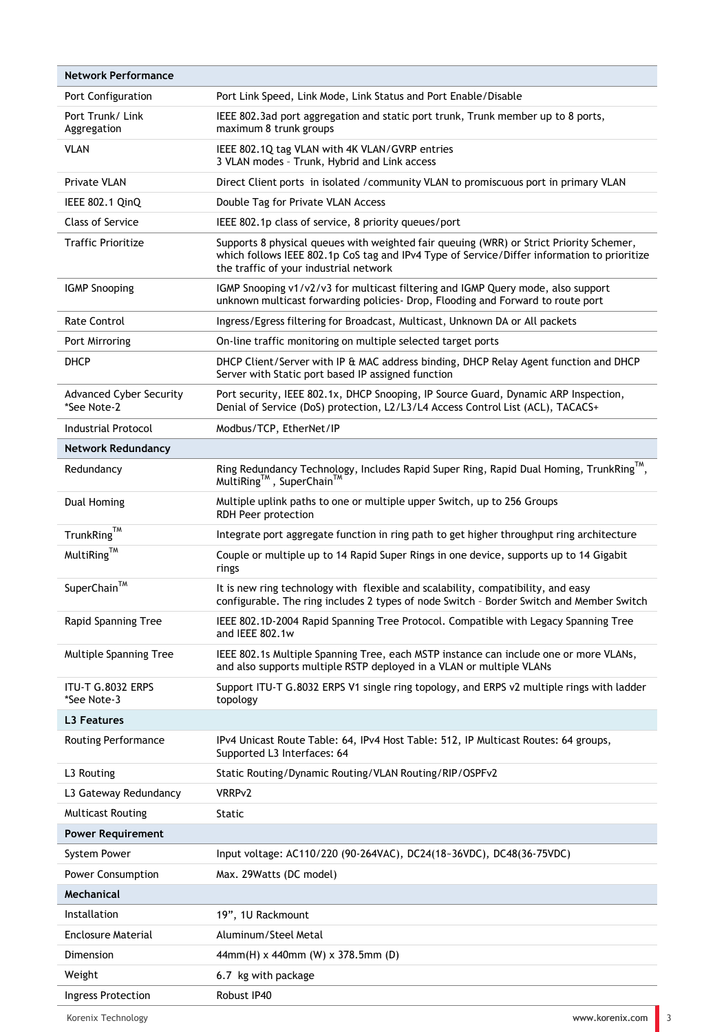| Network Performance                           |                                                                                                                                                                                                                                  |
|-----------------------------------------------|----------------------------------------------------------------------------------------------------------------------------------------------------------------------------------------------------------------------------------|
| Port Configuration                            | Port Link Speed, Link Mode, Link Status and Port Enable/Disable                                                                                                                                                                  |
| Port Trunk/Link<br>Aggregation                | IEEE 802.3ad port aggregation and static port trunk, Trunk member up to 8 ports,<br>maximum 8 trunk groups                                                                                                                       |
| <b>VLAN</b>                                   | IEEE 802.1Q tag VLAN with 4K VLAN/GVRP entries<br>3 VLAN modes - Trunk, Hybrid and Link access                                                                                                                                   |
| Private VLAN                                  | Direct Client ports in isolated / community VLAN to promiscuous port in primary VLAN                                                                                                                                             |
| IEEE 802.1 QinQ                               | Double Tag for Private VLAN Access                                                                                                                                                                                               |
| <b>Class of Service</b>                       | IEEE 802.1p class of service, 8 priority queues/port                                                                                                                                                                             |
| <b>Traffic Prioritize</b>                     | Supports 8 physical queues with weighted fair queuing (WRR) or Strict Priority Schemer,<br>which follows IEEE 802.1p CoS tag and IPv4 Type of Service/Differ information to prioritize<br>the traffic of your industrial network |
| <b>IGMP Snooping</b>                          | IGMP Snooping v1/v2/v3 for multicast filtering and IGMP Query mode, also support<br>unknown multicast forwarding policies- Drop, Flooding and Forward to route port                                                              |
| Rate Control                                  | Ingress/Egress filtering for Broadcast, Multicast, Unknown DA or All packets                                                                                                                                                     |
| Port Mirroring                                | On-line traffic monitoring on multiple selected target ports                                                                                                                                                                     |
| DHCP                                          | DHCP Client/Server with IP & MAC address binding, DHCP Relay Agent function and DHCP<br>Server with Static port based IP assigned function                                                                                       |
| <b>Advanced Cyber Security</b><br>*See Note-2 | Port security, IEEE 802.1x, DHCP Snooping, IP Source Guard, Dynamic ARP Inspection,<br>Denial of Service (DoS) protection, L2/L3/L4 Access Control List (ACL), TACACS+                                                           |
| <b>Industrial Protocol</b>                    | Modbus/TCP, EtherNet/IP                                                                                                                                                                                                          |
| Network Redundancy                            |                                                                                                                                                                                                                                  |
| Redundancy                                    | Ring Redundancy Technology, Includes Rapid Super Ring, Rapid Dual Homing, TrunkRing™,<br>MultiRing™, SuperChain™                                                                                                                 |
| Dual Homing                                   | Multiple uplink paths to one or multiple upper Switch, up to 256 Groups<br>RDH Peer protection                                                                                                                                   |
| $TrunkRing^{\text{TM}}$                       | Integrate port aggregate function in ring path to get higher throughput ring architecture                                                                                                                                        |
| MultiRing <sup>TM</sup>                       | Couple or multiple up to 14 Rapid Super Rings in one device, supports up to 14 Gigabit<br>rings                                                                                                                                  |
| SuperChain™                                   | It is new ring technology with flexible and scalability, compatibility, and easy<br>configurable. The ring includes 2 types of node Switch - Border Switch and Member Switch                                                     |
| Rapid Spanning Tree                           | IEEE 802.1D-2004 Rapid Spanning Tree Protocol. Compatible with Legacy Spanning Tree<br>and IEEE 802.1w                                                                                                                           |
| Multiple Spanning Tree                        | IEEE 802.1s Multiple Spanning Tree, each MSTP instance can include one or more VLANs,<br>and also supports multiple RSTP deployed in a VLAN or multiple VLANs                                                                    |
| ITU-T G.8032 ERPS<br>*See Note-3              | Support ITU-T G.8032 ERPS V1 single ring topology, and ERPS v2 multiple rings with ladder<br>topology                                                                                                                            |
| <b>L3 Features</b>                            |                                                                                                                                                                                                                                  |
| Routing Performance                           | IPv4 Unicast Route Table: 64, IPv4 Host Table: 512, IP Multicast Routes: 64 groups,<br>Supported L3 Interfaces: 64                                                                                                               |
| L3 Routing                                    | Static Routing/Dynamic Routing/VLAN Routing/RIP/OSPFv2                                                                                                                                                                           |
| L3 Gateway Redundancy                         | VRRPv2                                                                                                                                                                                                                           |
| <b>Multicast Routing</b>                      | Static                                                                                                                                                                                                                           |
| <b>Power Requirement</b>                      |                                                                                                                                                                                                                                  |
| System Power                                  | Input voltage: AC110/220 (90-264VAC), DC24(18~36VDC), DC48(36-75VDC)                                                                                                                                                             |
| Power Consumption                             | Max. 29Watts (DC model)                                                                                                                                                                                                          |
| Mechanical                                    |                                                                                                                                                                                                                                  |
| Installation                                  | 19", 1U Rackmount                                                                                                                                                                                                                |
| Enclosure Material                            | Aluminum/Steel Metal                                                                                                                                                                                                             |
| Dimension                                     | 44mm(H) x 440mm (W) x 378.5mm (D)                                                                                                                                                                                                |
| Weight                                        | 6.7 kg with package                                                                                                                                                                                                              |
| Ingress Protection                            | Robust IP40                                                                                                                                                                                                                      |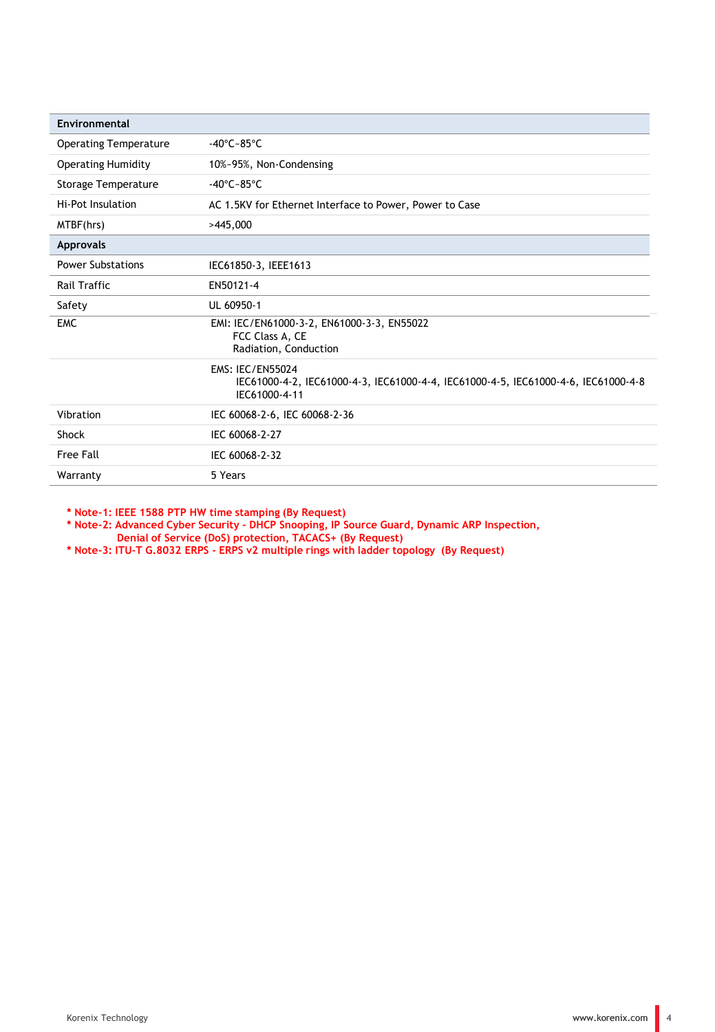| Environmental                |                                                                                                                                |
|------------------------------|--------------------------------------------------------------------------------------------------------------------------------|
| <b>Operating Temperature</b> | $-40^{\circ}$ C $-85^{\circ}$ C                                                                                                |
| <b>Operating Humidity</b>    | 10%~95%, Non-Condensing                                                                                                        |
| <b>Storage Temperature</b>   | $-40^{\circ}$ C $-85^{\circ}$ C                                                                                                |
| Hi-Pot Insulation            | AC 1.5KV for Ethernet Interface to Power, Power to Case                                                                        |
| MTBF(hrs)                    | >445,000                                                                                                                       |
| <b>Approvals</b>             |                                                                                                                                |
| <b>Power Substations</b>     | IEC61850-3, IEEE1613                                                                                                           |
| <b>Rail Traffic</b>          | EN50121-4                                                                                                                      |
| Safety                       | UL 60950-1                                                                                                                     |
| <b>EMC</b>                   | EMI: IEC/EN61000-3-2, EN61000-3-3, EN55022<br>FCC Class A, CE<br>Radiation, Conduction                                         |
|                              | <b>EMS: IEC/EN55024</b><br>IEC61000-4-2, IEC61000-4-3, IEC61000-4-4, IEC61000-4-5, IEC61000-4-6, IEC61000-4-8<br>IEC61000-4-11 |
| Vibration                    | IEC 60068-2-6, IEC 60068-2-36                                                                                                  |
| Shock                        | IEC 60068-2-27                                                                                                                 |
| Free Fall                    | IEC 60068-2-32                                                                                                                 |
| Warranty                     | 5 Years                                                                                                                        |

**\* Note-1: IEEE 1588 PTP HW time stamping (By Request)**

**\* Note-2: Advanced Cyber Security - DHCP Snooping, IP Source Guard, Dynamic ARP Inspection, Denial of Service (DoS) protection, TACACS+ (By Request)** 

**\* Note-3: ITU-T G.8032 ERPS - ERPS v2 multiple rings with ladder topology (By Request)**